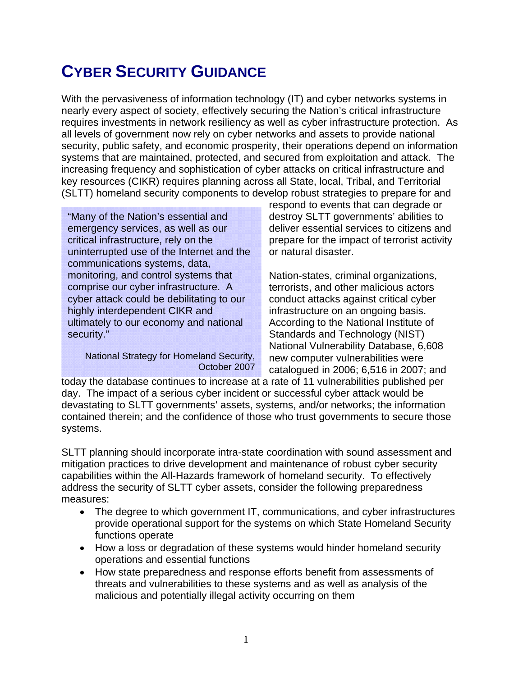# **CYBER SECURITY GUIDANCE**

With the pervasiveness of information technology (IT) and cyber networks systems in nearly every aspect of society, effectively securing the Nation's critical infrastructure requires investments in network resiliency as well as cyber infrastructure protection. As all levels of government now rely on cyber networks and assets to provide national security, public safety, and economic prosperity, their operations depend on information systems that are maintained, protected, and secured from exploitation and attack. The increasing frequency and sophistication of cyber attacks on critical infrastructure and key resources (CIKR) requires planning across all State, local, Tribal, and Territorial (SLTT) homeland security components to develop robust strategies to prepare for and

"Many of the Nation's essential and emergency services, as well as our critical infrastructure, rely on the uninterrupted use of the Internet and the communications systems, data, monitoring, and control systems that comprise our cyber infrastructure. A cyber attack could be debilitating to our highly interdependent CIKR and ultimately to our economy and national security."

National Strategy for Homeland Security, October 2007

respond to events that can degrade or destroy SLTT governments' abilities to deliver essential services to citizens and prepare for the impact of terrorist activity or natural disaster.

Nation-states, criminal organizations, terrorists, and other malicious actors conduct attacks against critical cyber infrastructure on an ongoing basis. According to the National Institute of Standards and Technology (NIST) National Vulnerability Database, 6,608 new computer vulnerabilities were catalogued in 2006; 6,516 in 2007; and

today the database continues to increase at a rate of 11 vulnerabilities published per day. The impact of a serious cyber incident or successful cyber attack would be devastating to SLTT governments' assets, systems, and/or networks; the information contained therein; and the confidence of those who trust governments to secure those systems.

SLTT planning should incorporate intra-state coordination with sound assessment and mitigation practices to drive development and maintenance of robust cyber security capabilities within the All-Hazards framework of homeland security. To effectively address the security of SLTT cyber assets, consider the following preparedness measures:

- The degree to which government IT, communications, and cyber infrastructures provide operational support for the systems on which State Homeland Security functions operate
- How a loss or degradation of these systems would hinder homeland security operations and essential functions
- How state preparedness and response efforts benefit from assessments of threats and vulnerabilities to these systems and as well as analysis of the malicious and potentially illegal activity occurring on them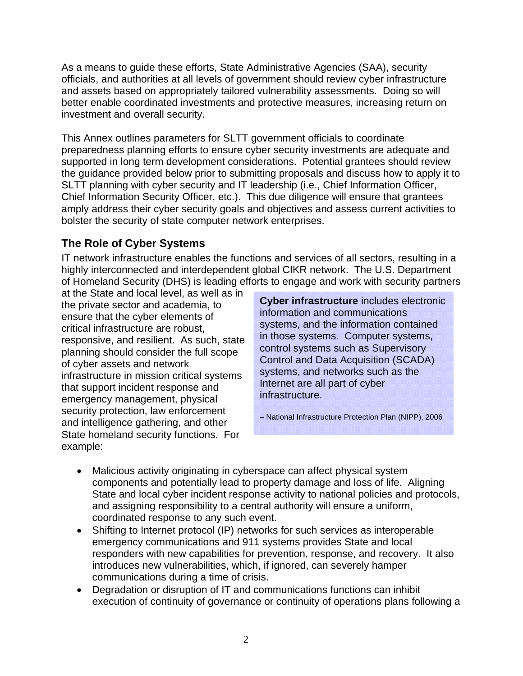As a means to guide these efforts, State Administrative Agencies (SAA), security officials, and authorities at all levels of government should review cyber infrastructure and assets based on appropriately tailored vulnerability assessments. Doing so will better enable coordinated investments and protective measures, increasing return on investment and overall security.

This Annex outlines parameters for SLTT government officials to coordinate preparedness planning efforts to ensure cyber security investments are adequate and supported in long term development considerations. Potential grantees should review the guidance provided below prior to submitting proposals and discuss how to apply it to SLTT planning with cyber security and IT leadership (i.e., Chief Information Officer, Chief Information Security Officer, etc.). This due diligence will ensure that grantees amply address their cyber security goals and objectives and assess current activities to bolster the security of state computer network enterprises.

## **The Role of Cyber Systems**

IT network infrastructure enables the functions and services of all sectors, resulting in a highly interconnected and interdependent global CIKR network. The U.S. Department of Homeland Security (DHS) is leading efforts to engage and work with security partners

at the State and local level, as well as in the private sector and academia, to ensure that the cyber elements of critical infrastructure are robust, responsive, and resilient. As such, state planning should consider the full scope of cyber assets and network infrastructure in mission critical systems that support incident response and emergency management, physical security protection, law enforcement and intelligence gathering, and other State homeland security functions. For example:

**Cyber infrastructure** includes electronic information and communications systems, and the information contained in those systems. Computer systems, control systems such as Supervisory Control and Data Acquisition (SCADA) systems, and networks such as the Internet are all part of cyber infrastructure.

– National Infrastructure Protection Plan (NIPP), 2006

- Malicious activity originating in cyberspace can affect physical system components and potentially lead to property damage and loss of life. Aligning State and local cyber incident response activity to national policies and protocols, and assigning responsibility to a central authority will ensure a uniform, coordinated response to any such event.
- Shifting to Internet protocol (IP) networks for such services as interoperable emergency communications and 911 systems provides State and local responders with new capabilities for prevention, response, and recovery. It also introduces new vulnerabilities, which, if ignored, can severely hamper communications during a time of crisis.
- Degradation or disruption of IT and communications functions can inhibit execution of continuity of governance or continuity of operations plans following a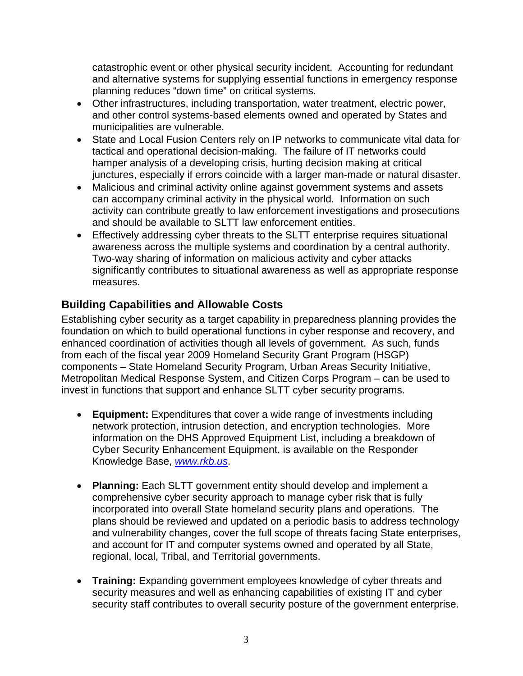catastrophic event or other physical security incident. Accounting for redundant and alternative systems for supplying essential functions in emergency response planning reduces "down time" on critical systems.

- Other infrastructures, including transportation, water treatment, electric power, and other control systems-based elements owned and operated by States and municipalities are vulnerable.
- State and Local Fusion Centers rely on IP networks to communicate vital data for tactical and operational decision-making. The failure of IT networks could hamper analysis of a developing crisis, hurting decision making at critical junctures, especially if errors coincide with a larger man-made or natural disaster.
- Malicious and criminal activity online against government systems and assets can accompany criminal activity in the physical world. Information on such activity can contribute greatly to law enforcement investigations and prosecutions and should be available to SLTT law enforcement entities.
- Effectively addressing cyber threats to the SLTT enterprise requires situational awareness across the multiple systems and coordination by a central authority. Two-way sharing of information on malicious activity and cyber attacks significantly contributes to situational awareness as well as appropriate response measures.

## **Building Capabilities and Allowable Costs**

Establishing cyber security as a target capability in preparedness planning provides the foundation on which to build operational functions in cyber response and recovery, and enhanced coordination of activities though all levels of government. As such, funds from each of the fiscal year 2009 Homeland Security Grant Program (HSGP) components – State Homeland Security Program, Urban Areas Security Initiative, Metropolitan Medical Response System, and Citizen Corps Program – can be used to invest in functions that support and enhance SLTT cyber security programs.

- **Equipment:** Expenditures that cover a wide range of investments including network protection, intrusion detection, and encryption technologies. More information on the DHS Approved Equipment List, including a breakdown of Cyber Security Enhancement Equipment, is available on the Responder Knowledge Base, *www.rkb.us*.
- **Planning:** Each SLTT government entity should develop and implement a comprehensive cyber security approach to manage cyber risk that is fully incorporated into overall State homeland security plans and operations. The plans should be reviewed and updated on a periodic basis to address technology and vulnerability changes, cover the full scope of threats facing State enterprises, and account for IT and computer systems owned and operated by all State, regional, local, Tribal, and Territorial governments.
- **Training:** Expanding government employees knowledge of cyber threats and security measures and well as enhancing capabilities of existing IT and cyber security staff contributes to overall security posture of the government enterprise.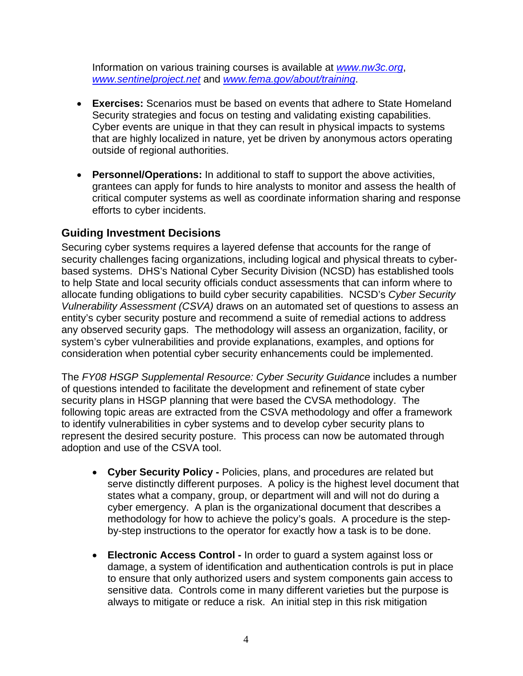Information on various training courses is available at *www.nw3c.org*, *www.sentinelproject.net* and *www.fema.gov/about/training*.

- **Exercises:** Scenarios must be based on events that adhere to State Homeland Security strategies and focus on testing and validating existing capabilities. Cyber events are unique in that they can result in physical impacts to systems that are highly localized in nature, yet be driven by anonymous actors operating outside of regional authorities.
- **Personnel/Operations:** In additional to staff to support the above activities, grantees can apply for funds to hire analysts to monitor and assess the health of critical computer systems as well as coordinate information sharing and response efforts to cyber incidents.

### **Guiding Investment Decisions**

Securing cyber systems requires a layered defense that accounts for the range of security challenges facing organizations, including logical and physical threats to cyberbased systems. DHS's National Cyber Security Division (NCSD) has established tools to help State and local security officials conduct assessments that can inform where to allocate funding obligations to build cyber security capabilities. NCSD's *Cyber Security Vulnerability Assessment (CSVA)* draws on an automated set of questions to assess an entity's cyber security posture and recommend a suite of remedial actions to address any observed security gaps. The methodology will assess an organization, facility, or system's cyber vulnerabilities and provide explanations, examples, and options for consideration when potential cyber security enhancements could be implemented.

The *FY08 HSGP Supplemental Resource: Cyber Security Guidance* includes a number of questions intended to facilitate the development and refinement of state cyber security plans in HSGP planning that were based the CVSA methodology. The following topic areas are extracted from the CSVA methodology and offer a framework to identify vulnerabilities in cyber systems and to develop cyber security plans to represent the desired security posture. This process can now be automated through adoption and use of the CSVA tool.

- **Cyber Security Policy** Policies, plans, and procedures are related but serve distinctly different purposes. A policy is the highest level document that states what a company, group, or department will and will not do during a cyber emergency. A plan is the organizational document that describes a methodology for how to achieve the policy's goals. A procedure is the stepby-step instructions to the operator for exactly how a task is to be done.
- **Electronic Access Control** In order to guard a system against loss or damage, a system of identification and authentication controls is put in place to ensure that only authorized users and system components gain access to sensitive data. Controls come in many different varieties but the purpose is always to mitigate or reduce a risk. An initial step in this risk mitigation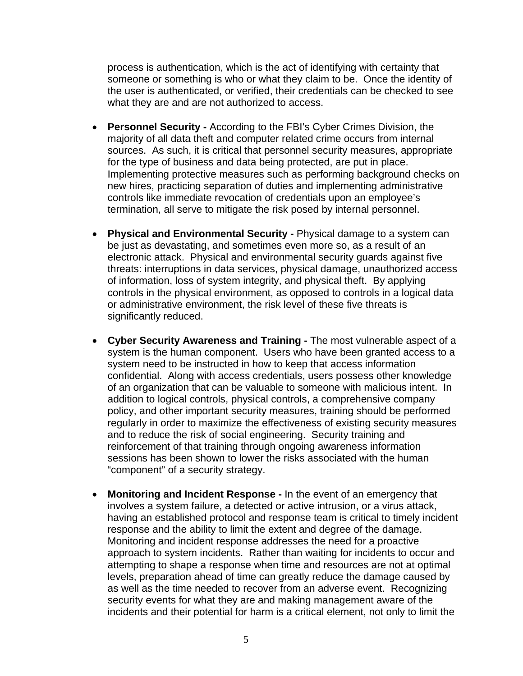process is authentication, which is the act of identifying with certainty that someone or something is who or what they claim to be. Once the identity of the user is authenticated, or verified, their credentials can be checked to see what they are and are not authorized to access.

- **Personnel Security** According to the FBI's Cyber Crimes Division, the majority of all data theft and computer related crime occurs from internal sources. As such, it is critical that personnel security measures, appropriate for the type of business and data being protected, are put in place. Implementing protective measures such as performing background checks on new hires, practicing separation of duties and implementing administrative controls like immediate revocation of credentials upon an employee's termination, all serve to mitigate the risk posed by internal personnel.
- **Physical and Environmental Security** Physical damage to a system can be just as devastating, and sometimes even more so, as a result of an electronic attack. Physical and environmental security guards against five threats: interruptions in data services, physical damage, unauthorized access of information, loss of system integrity, and physical theft. By applying controls in the physical environment, as opposed to controls in a logical data or administrative environment, the risk level of these five threats is significantly reduced.
- **Cyber Security Awareness and Training** The most vulnerable aspect of a system is the human component. Users who have been granted access to a system need to be instructed in how to keep that access information confidential. Along with access credentials, users possess other knowledge of an organization that can be valuable to someone with malicious intent. In addition to logical controls, physical controls, a comprehensive company policy, and other important security measures, training should be performed regularly in order to maximize the effectiveness of existing security measures and to reduce the risk of social engineering. Security training and reinforcement of that training through ongoing awareness information sessions has been shown to lower the risks associated with the human "component" of a security strategy.
- **Monitoring and Incident Response** In the event of an emergency that involves a system failure, a detected or active intrusion, or a virus attack, having an established protocol and response team is critical to timely incident response and the ability to limit the extent and degree of the damage. Monitoring and incident response addresses the need for a proactive approach to system incidents. Rather than waiting for incidents to occur and attempting to shape a response when time and resources are not at optimal levels, preparation ahead of time can greatly reduce the damage caused by as well as the time needed to recover from an adverse event. Recognizing security events for what they are and making management aware of the incidents and their potential for harm is a critical element, not only to limit the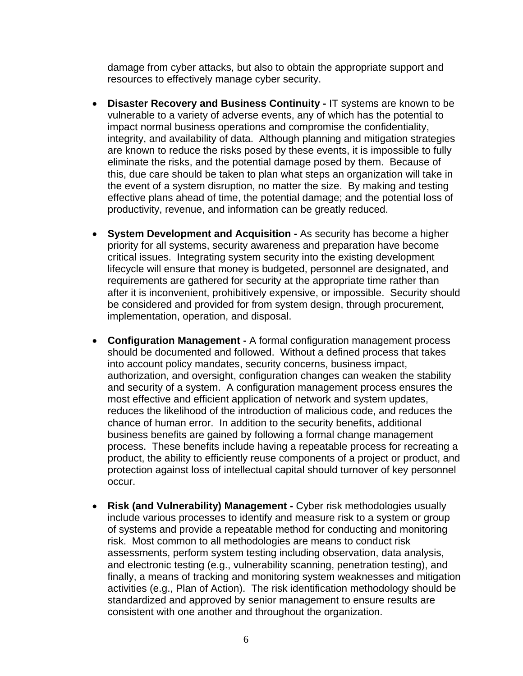damage from cyber attacks, but also to obtain the appropriate support and resources to effectively manage cyber security.

- **Disaster Recovery and Business Continuity** IT systems are known to be vulnerable to a variety of adverse events, any of which has the potential to impact normal business operations and compromise the confidentiality, integrity, and availability of data. Although planning and mitigation strategies are known to reduce the risks posed by these events, it is impossible to fully eliminate the risks, and the potential damage posed by them. Because of this, due care should be taken to plan what steps an organization will take in the event of a system disruption, no matter the size. By making and testing effective plans ahead of time, the potential damage; and the potential loss of productivity, revenue, and information can be greatly reduced.
- **System Development and Acquisition** As security has become a higher priority for all systems, security awareness and preparation have become critical issues. Integrating system security into the existing development lifecycle will ensure that money is budgeted, personnel are designated, and requirements are gathered for security at the appropriate time rather than after it is inconvenient, prohibitively expensive, or impossible. Security should be considered and provided for from system design, through procurement, implementation, operation, and disposal.
- **Configuration Management** A formal configuration management process should be documented and followed. Without a defined process that takes into account policy mandates, security concerns, business impact, authorization, and oversight, configuration changes can weaken the stability and security of a system. A configuration management process ensures the most effective and efficient application of network and system updates, reduces the likelihood of the introduction of malicious code, and reduces the chance of human error. In addition to the security benefits, additional business benefits are gained by following a formal change management process. These benefits include having a repeatable process for recreating a product, the ability to efficiently reuse components of a project or product, and protection against loss of intellectual capital should turnover of key personnel occur.
- **Risk (and Vulnerability) Management** Cyber risk methodologies usually include various processes to identify and measure risk to a system or group of systems and provide a repeatable method for conducting and monitoring risk. Most common to all methodologies are means to conduct risk assessments, perform system testing including observation, data analysis, and electronic testing (e.g., vulnerability scanning, penetration testing), and finally, a means of tracking and monitoring system weaknesses and mitigation activities (e.g., Plan of Action). The risk identification methodology should be standardized and approved by senior management to ensure results are consistent with one another and throughout the organization.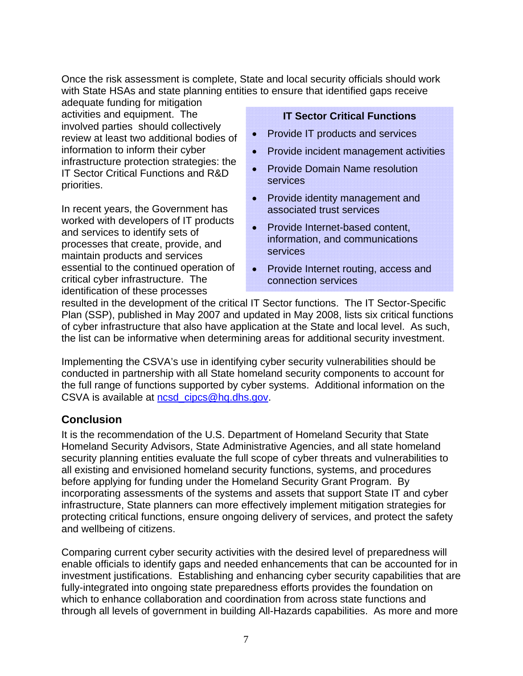Once the risk assessment is complete, State and local security officials should work with State HSAs and state planning entities to ensure that identified gaps receive

adequate funding for mitigation activities and equipment. The involved parties should collectively review at least two additional bodies of information to inform their cyber infrastructure protection strategies: the IT Sector Critical Functions and R&D priorities.

In recent years, the Government has worked with developers of IT products and services to identify sets of processes that create, provide, and maintain products and services essential to the continued operation of critical cyber infrastructure. The identification of these processes

#### **IT Sector Critical Functions**

- Provide IT products and services
- Provide incident management activities
- Provide Domain Name resolution services
- Provide identity management and associated trust services
- Provide Internet-based content. information, and communications services
- Provide Internet routing, access and connection services

resulted in the development of the critical IT Sector functions. The IT Sector-Specific Plan (SSP), published in May 2007 and updated in May 2008, lists six critical functions of cyber infrastructure that also have application at the State and local level. As such, the list can be informative when determining areas for additional security investment.

Implementing the CSVA's use in identifying cyber security vulnerabilities should be conducted in partnership with all State homeland security components to account for the full range of functions supported by cyber systems. Additional information on the CSVA is available at ncsd\_cipcs@hq.dhs.gov.

## **Conclusion**

It is the recommendation of the U.S. Department of Homeland Security that State Homeland Security Advisors, State Administrative Agencies, and all state homeland security planning entities evaluate the full scope of cyber threats and vulnerabilities to all existing and envisioned homeland security functions, systems, and procedures before applying for funding under the Homeland Security Grant Program. By incorporating assessments of the systems and assets that support State IT and cyber infrastructure, State planners can more effectively implement mitigation strategies for protecting critical functions, ensure ongoing delivery of services, and protect the safety and wellbeing of citizens.

Comparing current cyber security activities with the desired level of preparedness will enable officials to identify gaps and needed enhancements that can be accounted for in investment justifications. Establishing and enhancing cyber security capabilities that are fully-integrated into ongoing state preparedness efforts provides the foundation on which to enhance collaboration and coordination from across state functions and through all levels of government in building All-Hazards capabilities. As more and more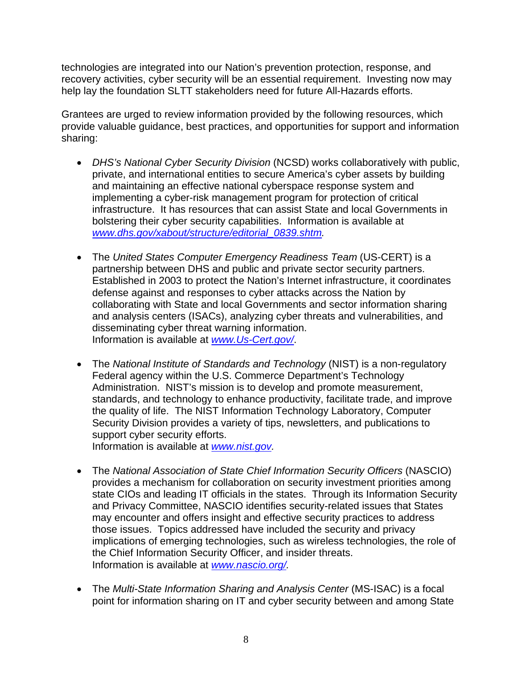technologies are integrated into our Nation's prevention protection, response, and recovery activities, cyber security will be an essential requirement. Investing now may help lay the foundation SLTT stakeholders need for future All-Hazards efforts.

Grantees are urged to review information provided by the following resources, which provide valuable guidance, best practices, and opportunities for support and information sharing:

- *DHS's National Cyber Security Division* (NCSD) works collaboratively with public, private, and international entities to secure America's cyber assets by building and maintaining an effective national cyberspace response system and implementing a cyber-risk management program for protection of critical infrastructure. It has resources that can assist State and local Governments in bolstering their cyber security capabilities. Information is available at *www.dhs.gov/xabout/structure/editorial\_0839.shtm.*
- The *United States Computer Emergency Readiness Team* (US-CERT) is a partnership between DHS and public and private sector security partners. Established in 2003 to protect the Nation's Internet infrastructure, it coordinates defense against and responses to cyber attacks across the Nation by collaborating with State and local Governments and sector information sharing and analysis centers (ISACs), analyzing cyber threats and vulnerabilities, and disseminating cyber threat warning information. Information is available at *www.Us-Cert.gov/*.
- The *National Institute of Standards and Technology* (NIST) is a non-regulatory Federal agency within the U.S. Commerce Department's Technology Administration. NIST's mission is to develop and promote measurement, standards, and technology to enhance productivity, facilitate trade, and improve the quality of life. The NIST Information Technology Laboratory, Computer Security Division provides a variety of tips, newsletters, and publications to support cyber security efforts.

Information is available at *www.nist.gov.*

- The *National Association of State Chief Information Security Officers* (NASCIO) provides a mechanism for collaboration on security investment priorities among state CIOs and leading IT officials in the states. Through its Information Security and Privacy Committee, NASCIO identifies security-related issues that States may encounter and offers insight and effective security practices to address those issues. Topics addressed have included the security and privacy implications of emerging technologies, such as wireless technologies, the role of the Chief Information Security Officer, and insider threats. Information is available at *www.nascio.org/.*
- The *Multi-State Information Sharing and Analysis Center* (MS-ISAC) is a focal point for information sharing on IT and cyber security between and among State